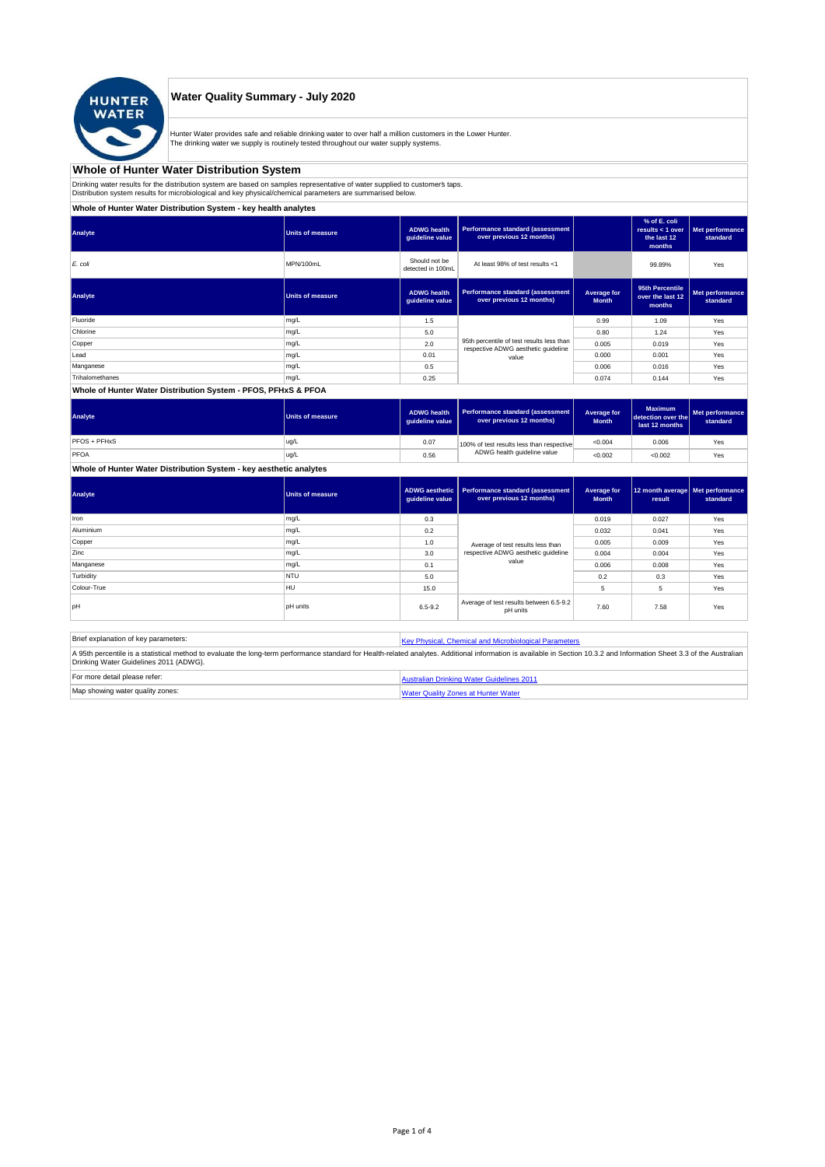

#### **Water Quality Summary - July 2020**

Hunter Water provides safe and reliable drinking water to over half a million customers in the Lower Hunter. The drinking water we supply is routinely tested throughout our water supply systems.

# **Whole of Hunter Water Distribution System**

Drinking water results for the distribution system are based on samples representative of water supplied to customer' taps.<br>Distribution system results for microbiological and key physical/chemical parameters are summarise

**Whole of Hunter Water Distribution System - key health analytes**

| Analyte                                                                                                     | Units of measure | <b>ADWG</b> health<br>guideline value | <b>Performance standard (assessment</b><br>over previous 12 months) |                             | % of E. coli<br>results $<$ 1 over<br>the last 12<br>months | Met performance<br>standard |
|-------------------------------------------------------------------------------------------------------------|------------------|---------------------------------------|---------------------------------------------------------------------|-----------------------------|-------------------------------------------------------------|-----------------------------|
| E. coli                                                                                                     | MPN/100mL        | Should not be<br>detected in 100mL    | At least 98% of test results <1                                     |                             | 99.89%                                                      | Yes                         |
| Analyte                                                                                                     | Units of measure | <b>ADWG health</b><br>guideline value | Performance standard (assessment<br>over previous 12 months)        | Average for<br><b>Month</b> | 95th Percentile<br>over the last 12<br>months               | Met performance<br>standard |
| Fluoride                                                                                                    | mg/L             | 1.5                                   |                                                                     | 0.99                        | 1.09                                                        | Yes                         |
| Chlorine                                                                                                    | mg/L             | 5.0                                   |                                                                     | 0.80                        | 1.24                                                        | Yes                         |
| Copper                                                                                                      | mg/L             | 2.0                                   | 95th percentile of test results less than                           | 0.005                       | 0.019                                                       | Yes                         |
| Lead                                                                                                        | mg/L             | 0.01                                  | respective ADWG aesthetic quideline<br>value                        | 0.000                       | 0.001                                                       | Yes                         |
| Manganese                                                                                                   | mg/L             | 0.5                                   |                                                                     | 0.006                       | 0.016                                                       | Yes                         |
| Trihalomethanes                                                                                             | mg/L             | 0.25                                  |                                                                     | 0.074                       | 0.144                                                       | Yes                         |
| $140 - 11 = 0.11$ and $141 - 0.1$ because $A_1$ and $A_2$ and $B_3$ becomes the second period of the second |                  |                                       |                                                                     |                             |                                                             |                             |

#### **Whole of Hunter Water Distribution System - PFOS, PFHxS & PFOA**

| Analyte      | <b>Units of measure</b> | <b>ADWG health</b><br>quideline value | Performance standard (assessment<br>over previous 12 months) | <b>Average for</b><br><b>Month</b> | <b>Maximum</b><br>detection over the<br>last 12 months | Met performance<br>standard |
|--------------|-------------------------|---------------------------------------|--------------------------------------------------------------|------------------------------------|--------------------------------------------------------|-----------------------------|
| PFOS + PFHxS | ug/L                    | 0.07                                  | 100% of test results less than respective                    | < 0.004                            | 0.006                                                  | Yes                         |
| PFOA         | ug/L                    | 0.56                                  | ADWG health quideline value                                  | < 0.002                            | < 0.002                                                | Yes                         |

## **Whole of Hunter Water Distribution System - key aesthetic analytes**

| Analyte     | Units of measure | guideline value | ADWG aesthetic   Performance standard (assessment<br>over previous 12 months) | Average for<br><b>Month</b> | 12 month average Met performance<br>result | standard |
|-------------|------------------|-----------------|-------------------------------------------------------------------------------|-----------------------------|--------------------------------------------|----------|
| Iron        | mg/L             | 0.3             |                                                                               | 0.019                       | 0.027                                      | Yes      |
| Aluminium   | mg/L             | 0.2             |                                                                               | 0.032                       | 0.041                                      | Yes      |
| Copper      | mg/L             | 1.0             | Average of test results less than<br>respective ADWG aesthetic quideline      | 0.005                       | 0.009                                      | Yes      |
| Zinc        | mg/L             | 3.0             |                                                                               | 0.004                       | 0.004                                      | Yes      |
| Manganese   | mg/L             | 0.1             | value                                                                         | 0.006                       | 0.008                                      | Yes      |
| Turbidity   | <b>NTU</b>       | 5.0             |                                                                               | 0.2                         | 0.3                                        | Yes      |
| Colour-True | HU               | 15.0            |                                                                               | 5                           | 5                                          | Yes      |
| loH         | <b>pH</b> units  | $6.5 - 9.2$     | Average of test results between 6.5-9.2<br>pH units                           | 7.60                        | 7.58                                       | Yes      |

| Brief explanation of key parameters:   | Key Physical, Chemical and Microbiological Parameters                                                                                                                                                                   |
|----------------------------------------|-------------------------------------------------------------------------------------------------------------------------------------------------------------------------------------------------------------------------|
| Drinking Water Guidelines 2011 (ADWG). | A 95th percentile is a statistical method to evaluate the long-term performance standard for Health-related analytes. Additional information is available in Section 10.3.2 and Information Sheet 3.3 of the Australian |
| For more detail please refer:          | Australian Drinking Water Guidelines 2011                                                                                                                                                                               |
| Map showing water quality zones:       | <b>Water Quality Zones at Hunter Water</b>                                                                                                                                                                              |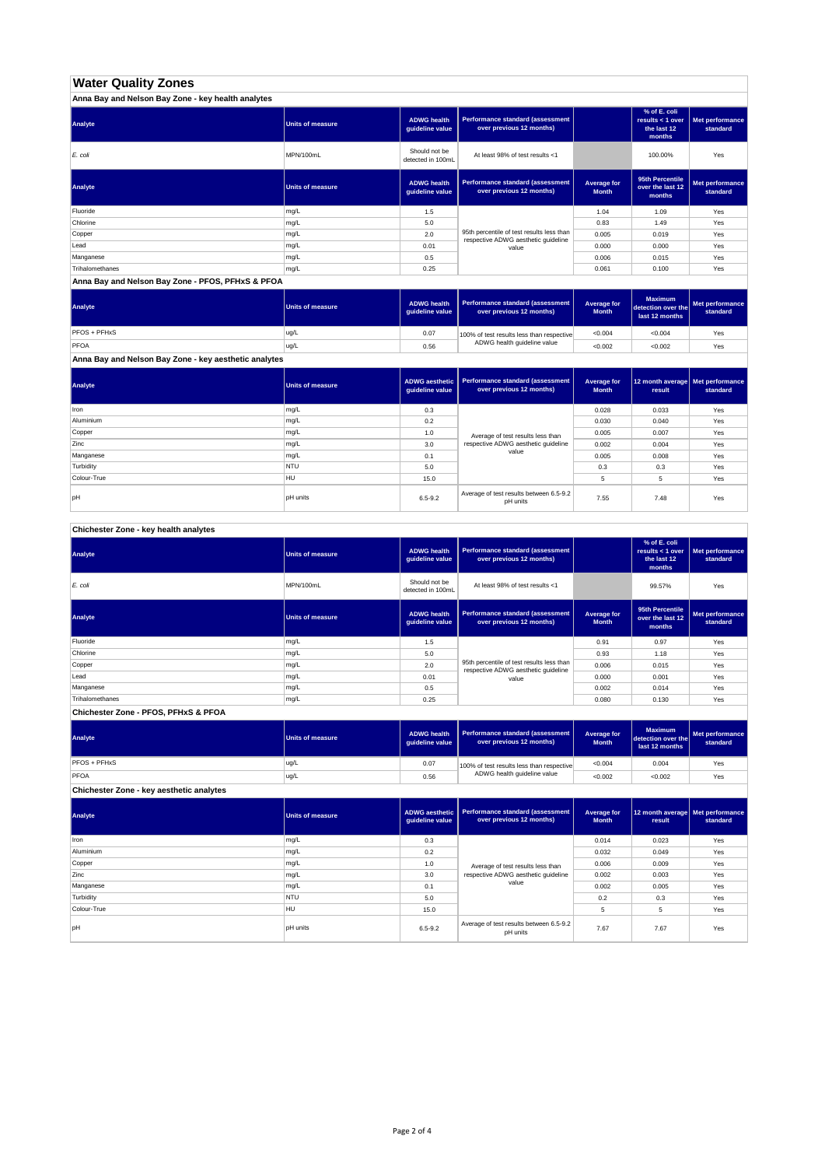## **Water Quality Zones**

| Anna Bay and Nelson Bay Zone - key health analytes |                  |                                       |                                                                                  |                             |                                                           |                             |
|----------------------------------------------------|------------------|---------------------------------------|----------------------------------------------------------------------------------|-----------------------------|-----------------------------------------------------------|-----------------------------|
| Analyte                                            | Units of measure | <b>ADWG health</b><br>guideline value | Performance standard (assessment<br>over previous 12 months)                     |                             | % of E. coli<br>results < 1 over<br>the last 12<br>months | Met performance<br>standard |
| E. coli                                            | MPN/100mL        | Should not be<br>detected in 100mL    | At least 98% of test results <1                                                  |                             | 100.00%                                                   | Yes                         |
| Analyte                                            | Units of measure | <b>ADWG health</b><br>guideline value | Performance standard (assessment<br>over previous 12 months)                     | Average for<br><b>Month</b> | 95th Percentile<br>over the last 12<br>months             | Met performance<br>standard |
| Fluoride                                           | mg/L             | 1.5                                   |                                                                                  | 1.04                        | 1.09                                                      | Yes                         |
| Chlorine                                           | mg/L             | 5.0                                   |                                                                                  | 0.83                        | 1.49                                                      | Yes                         |
| Copper                                             | mg/L             | 2.0                                   | 95th percentile of test results less than<br>respective ADWG aesthetic quideline | 0.005                       | 0.019                                                     | Yes                         |
| Lead                                               | mg/L             | 0.01                                  | value                                                                            | 0.000                       | 0.000                                                     | Yes                         |
| Manganese                                          | mg/L             | 0.5                                   |                                                                                  | 0.006                       | 0.015                                                     | Yes                         |
| Trihalomethanes                                    | mg/L             | 0.25                                  |                                                                                  | 0.061                       | 0.100                                                     | Yes                         |

**Anna Bay and Nelson Bay Zone - PFOS, PFHxS & PFOA**

| Analyte      | Units of measure | <b>ADWG health</b><br>quideline value | Performance standard (assessment<br>over previous 12 months) | <b>Average for</b><br><b>Month</b> | <b>Maximum</b><br>detection over the<br>last 12 months | Met performance<br>standard |
|--------------|------------------|---------------------------------------|--------------------------------------------------------------|------------------------------------|--------------------------------------------------------|-----------------------------|
| PFOS + PFHxS | ug/L             | 0.07                                  | 100% of test results less than respective                    | < 0.004                            | < 0.004                                                | Yes                         |
| PFOA         | ug/L             | 0.56                                  | ADWG health guideline value                                  | < 0.002                            | < 0.002                                                | Yes                         |

**Anna Bay and Nelson Bay Zone - key aesthetic analytes**

| Analyte     | Units of measure | ADWG aesthetic  <br>guideline value | Performance standard (assessment<br>over previous 12 months) | Average for<br><b>Month</b> | 12 month average   Met performance<br>result | standard |
|-------------|------------------|-------------------------------------|--------------------------------------------------------------|-----------------------------|----------------------------------------------|----------|
| Iron        | mg/L             | 0.3                                 |                                                              | 0.028                       | 0.033                                        | Yes      |
| Aluminium   | mg/L             | 0.2                                 |                                                              | 0.030                       | 0.040                                        | Yes      |
| Copper      | mg/L             | 1.0                                 | Average of test results less than                            | 0.005                       | 0.007                                        | Yes      |
| Zinc        | mg/L             | 3.0                                 | respective ADWG aesthetic quideline                          | 0.002                       | 0.004                                        | Yes      |
| Manganese   | mg/L             | 0.1                                 | value                                                        | 0.005                       | 0.008                                        | Yes      |
| Turbidity   | <b>NTU</b>       | 5.0                                 |                                                              | 0.3                         | 0.3                                          | Yes      |
| Colour-True | HU               | 15.0                                |                                                              |                             | 5                                            | Yes      |
| pH          | <b>pH</b> units  | $6.5 - 9.2$                         | Average of test results between 6.5-9.2<br>pH units          | 7.55                        | 7.48                                         | Yes      |

**Chichester Zone - key health analytes**

| Analyte         | <b>Units of measure</b> | <b>ADWG health</b><br>guideline value | Performance standard (assessment<br>over previous 12 months)                     |                             | % of E. coli<br>results $<$ 1 over<br>the last 12<br>months | Met performance<br>standard |
|-----------------|-------------------------|---------------------------------------|----------------------------------------------------------------------------------|-----------------------------|-------------------------------------------------------------|-----------------------------|
| E. coli         | MPN/100mL               | Should not be<br>detected in 100mL    | At least 98% of test results <1                                                  |                             | 99.57%                                                      | Yes                         |
| Analyte         | <b>Units of measure</b> | <b>ADWG health</b><br>guideline value | Performance standard (assessment<br>over previous 12 months)                     | Average for<br><b>Month</b> | 95th Percentile<br>over the last 12<br>months               | Met performance<br>standard |
| Fluoride        | mg/L                    | 1.5                                   |                                                                                  | 0.91                        | 0.97                                                        | Yes                         |
| Chlorine        | mg/L                    | 5.0                                   |                                                                                  | 0.93                        | 1.18                                                        | Yes                         |
| Copper          | mg/L                    | 2.0                                   | 95th percentile of test results less than<br>respective ADWG aesthetic quideline | 0.006                       | 0.015                                                       | Yes                         |
| Lead            | mg/L                    | 0.01                                  | value                                                                            | 0.000                       | 0.001                                                       | Yes                         |
| Manganese       | mg/L                    | 0.5                                   |                                                                                  | 0.002                       | 0.014                                                       | Yes                         |
| Trihalomethanes | mg/L                    | 0.25                                  |                                                                                  | 0.080                       | 0.130                                                       | Yes                         |

**Chichester Zone - PFOS, PFHxS & PFOA**

| Analyte                                  | Units of measure | <b>ADWG health</b><br>guideline value | <b>Performance standard (assessment</b><br>over previous 12 months)      | Average for<br><b>Month</b> | <b>Maximum</b><br>detection over the<br>last 12 months | Met performance<br>standard |
|------------------------------------------|------------------|---------------------------------------|--------------------------------------------------------------------------|-----------------------------|--------------------------------------------------------|-----------------------------|
| PFOS + PFHxS                             | ug/L             | 0.07                                  | 100% of test results less than respective<br>ADWG health guideline value | < 0.004                     | 0.004                                                  | Yes                         |
| PFOA                                     | ug/L             | 0.56                                  |                                                                          | < 0.002                     | < 0.002                                                | Yes                         |
| Chichester Zone - key aesthetic analytes |                  |                                       |                                                                          |                             |                                                        |                             |

| Analyte     | Units of measure | ADWG aesthetic<br>guideline value | Performance standard (assessment<br>over previous 12 months) | Average for<br><b>Month</b> | result | 12 month average Met performance<br>standard |
|-------------|------------------|-----------------------------------|--------------------------------------------------------------|-----------------------------|--------|----------------------------------------------|
| Iron        | mg/L             | 0.3                               |                                                              | 0.014                       | 0.023  | Yes                                          |
| Aluminium   | mg/L             | 0.2                               | Average of test results less than                            | 0.032                       | 0.049  | Yes                                          |
| Copper      | mg/L             | 1.0                               |                                                              | 0.006                       | 0.009  | Yes                                          |
| Zinc        | mg/L             | 3.0                               | respective ADWG aesthetic quideline                          | 0.002                       | 0.003  | Yes                                          |
| Manganese   | mg/L             | 0.1                               | value                                                        | 0.002                       | 0.005  | Yes                                          |
| Turbidity   | <b>NTU</b>       | 5.0                               |                                                              | 0.2                         | 0.3    | Yes                                          |
| Colour-True | HU               | 15.0                              |                                                              | 5                           | 5      | Yes                                          |
| pH          | pH units         | $6.5 - 9.2$                       | Average of test results between 6.5-9.2<br>pH units          | 7.67                        | 7.67   | Yes                                          |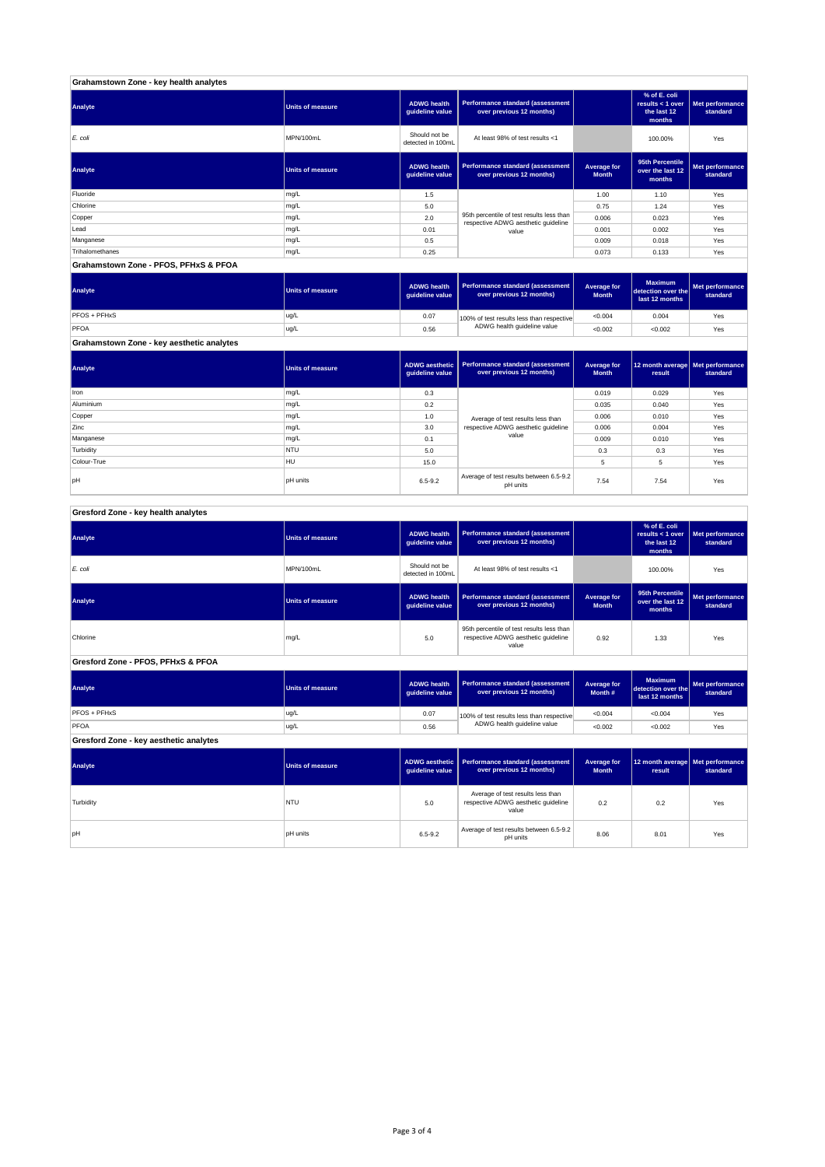| Grahamstown Zone - key health analytes |                         |                                       |                                                                                  |                             |                                                           |                             |
|----------------------------------------|-------------------------|---------------------------------------|----------------------------------------------------------------------------------|-----------------------------|-----------------------------------------------------------|-----------------------------|
| Analyte                                | <b>Units of measure</b> | <b>ADWG health</b><br>guideline value | Performance standard (assessment<br>over previous 12 months)                     |                             | % of E. coli<br>results < 1 over<br>the last 12<br>months | Met performance<br>standard |
| E. coli                                | MPN/100mL               | Should not be<br>detected in 100mL    | At least 98% of test results <1                                                  |                             | 100.00%                                                   | Yes                         |
| Analyte                                | <b>Units of measure</b> | <b>ADWG health</b><br>guideline value | Performance standard (assessment<br>over previous 12 months)                     | Average for<br><b>Month</b> | 95th Percentile<br>over the last 12<br>months             | Met performance<br>standard |
| Fluoride                               | mg/L                    | 1.5                                   |                                                                                  | 1.00                        | 1.10                                                      | Yes                         |
| Chlorine                               | mg/L                    | 5.0                                   |                                                                                  | 0.75                        | 1.24                                                      | Yes                         |
| Copper                                 | mg/L                    | 2.0                                   | 95th percentile of test results less than<br>respective ADWG aesthetic quideline | 0.006                       | 0.023                                                     | Yes                         |
| Lead                                   | mg/L                    | 0.01                                  | value                                                                            | 0.001                       | 0.002                                                     | Yes                         |
| Manganese                              | mg/L                    | 0.5                                   |                                                                                  | 0.009                       | 0.018                                                     | Yes                         |
| Trihalomethanes                        | mg/L                    | 0.25                                  |                                                                                  | 0.073                       | 0.133                                                     | Yes                         |
| Grahamstown Zone - PFOS, PFHxS & PFOA  |                         |                                       |                                                                                  |                             |                                                           |                             |

| Analyte      | Units of measure | <b>ADWG health</b><br>quideline value | Performance standard (assessment<br>over previous 12 months) | Average for<br><b>Month</b> | <b>Maximum</b><br>detection over the<br>last 12 months | <b>Met performance</b><br>standard |
|--------------|------------------|---------------------------------------|--------------------------------------------------------------|-----------------------------|--------------------------------------------------------|------------------------------------|
| PFOS + PFHxS | ug/L             | 0.07                                  | 100% of test results less than respective                    | < 0.004                     | 0.004                                                  | Yes                                |
| PFOA         | ug/L             | 0.56                                  | ADWG health guideline value                                  | < 0.002                     | < 0.002                                                | Yes                                |

┱

┱

T

T

┱

**Grahamstown Zone - key aesthetic analytes**

| Analyte     | <b>Units of measure</b> | guideline value | ADWG aesthetic   Performance standard (assessment<br>over previous 12 months) | Average for<br><b>Month</b> | 12 month average Met performance<br>result | standard |
|-------------|-------------------------|-----------------|-------------------------------------------------------------------------------|-----------------------------|--------------------------------------------|----------|
| Iron        | mg/L                    | 0.3             |                                                                               | 0.019                       | 0.029                                      | Yes      |
| Aluminium   | mg/L                    | 0.2             |                                                                               | 0.035                       | 0.040                                      | Yes      |
| Copper      | mg/L                    | 1.0             | Average of test results less than                                             | 0.006                       | 0.010                                      | Yes      |
| Zinc        | mg/L                    | 3.0             | respective ADWG aesthetic quideline                                           | 0.006                       | 0.004                                      | Yes      |
| Manganese   | mg/L                    | 0.1             | value                                                                         | 0.009                       | 0.010                                      | Yes      |
| Turbidity   | <b>NTU</b>              | 5.0             |                                                                               | 0.3                         | 0.3                                        | Yes      |
| Colour-True | <b>HU</b>               | 15.0            |                                                                               | 5                           | 5                                          | Yes      |
| pH          | <b>pH</b> units         | $6.5 - 9.2$     | Average of test results between 6.5-9.2<br>pH units                           | 7.54                        | 7.54                                       | Yes      |

| Gresford Zone - key health analytes |  |
|-------------------------------------|--|
|                                     |  |

ı

| Analyte                                | <b>Units of measure</b> | <b>ADWG</b> health<br>guideline value                          | Performance standard (assessment<br>over previous 12 months)                              |                                    | % of E. coli<br>results < $1$ over<br>the last 12<br>months | Met performance<br>standard |
|----------------------------------------|-------------------------|----------------------------------------------------------------|-------------------------------------------------------------------------------------------|------------------------------------|-------------------------------------------------------------|-----------------------------|
| $E$ . coli                             | MPN/100mL               | Should not be<br>detected in 100mL                             | At least 98% of test results <1                                                           |                                    |                                                             | Yes                         |
| Analyte                                | <b>Units of measure</b> | <b>ADWG health</b><br>guideline value                          | Performance standard (assessment<br>over previous 12 months)                              | <b>Average for</b><br><b>Month</b> | 95th Percentile<br>over the last 12<br>months               | Met performance<br>standard |
| Chlorine                               | mg/L                    | 5.0                                                            | 95th percentile of test results less than<br>respective ADWG aesthetic quideline<br>value |                                    | 1.33                                                        | Yes                         |
| Gresford Zone - PFOS, PFHxS & PFOA     |                         |                                                                |                                                                                           |                                    |                                                             |                             |
| Analyte                                | <b>Units of measure</b> | <b>ADWG health</b><br>guideline value                          | Performance standard (assessment<br>over previous 12 months)                              | Average for<br>Month #             | <b>Maximum</b><br>detection over the<br>last 12 months      | Met performance<br>standard |
| PFOS + PFHxS                           | ug/L                    | 0.07                                                           | 100% of test results less than respective                                                 | < 0.004                            | < 0.004                                                     | Yes                         |
| PFOA                                   | ug/L                    | 0.56                                                           | ADWG health guideline value                                                               | < 0.002                            | < 0.002                                                     | Yes                         |
| Gresford Zone - key aesthetic analytes |                         |                                                                |                                                                                           |                                    |                                                             |                             |
| Analyte                                | <b>Units of measure</b> | <b>ADWG</b> aesthetic<br>guideline value                       | Performance standard (assessment<br>over previous 12 months)                              | <b>Average for</b><br><b>Month</b> | 12 month average<br>result                                  | Met performance<br>standard |
| Turbidity                              | <b>NTU</b>              | 5.0                                                            | Average of test results less than<br>respective ADWG aesthetic quideline<br>value         | 0.2                                | 0.2                                                         | Yes                         |
| <b>bH</b>                              | <b>pH</b> units         | Average of test results between 6.5-9.2<br>6.5-9.2<br>pH units |                                                                                           | 8.06                               | 8.01                                                        | Yes                         |